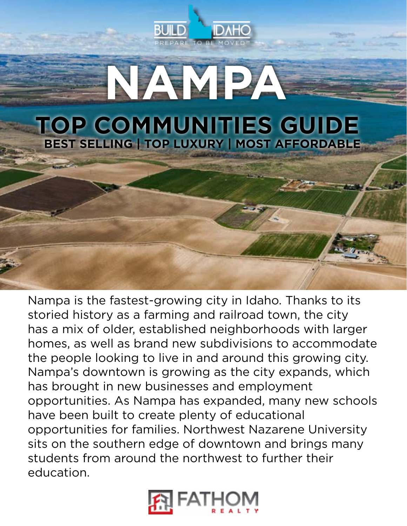



Nampa is the fastest-growing city in Idaho. Thanks to its storied history as a farming and railroad town, the city has a mix of older, established neighborhoods with larger homes, as well as brand new subdivisions to accommodate the people looking to live in and around this growing city. Nampa's downtown is growing as the city expands, which has brought in new businesses and employment opportunities. As Nampa has expanded, many new schools have been built to create plenty of educational opportunities for families. Northwest Nazarene University sits on the southern edge of downtown and brings many students from around the northwest to further their education.